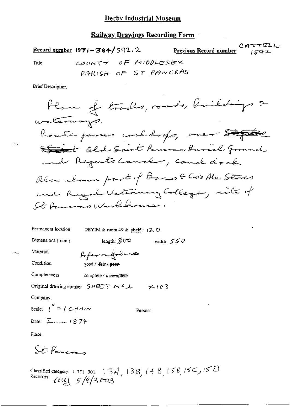**Railway Drawings Recording Form** 

Record number  $1971 - 384 / 592$ , 2

CATTELL Previous Record number  $1542$ 

Title

COUNTY OF MIDDLESEX PARISH OF ST PANCRAS

**Brief Description** 

Plane of traches, roads, buildings & without ways. Route passes cooldrops, over 200 Est old Saint Powers Burel Ground and Regents Canal , canal dock alon trouve part of Bars & Co's Ale Stres and Royal Veterinary College, site of St Pomeras Workbrower,

width:  $550$ 

Permanent location DBYIM & room 49 & shelf:  $(2, 0)$ 

Dimensions  $(mn)$ 

length:  $\mathcal{G} \cup \mathcal{O}$ 

Material

Referentatives good / fair / poor-

Completeness complete / incomplete

Original drawing number  $SH^{\frac{1}{2}}$  N  $^{2}$  X  $^{2}$  X  $^{2}$  Y  $^{2}$  /  $\varnothing$   $\geq$ 

Company:

Condition

Scale:  $\int_{0}^{\prime\prime} = \int C_1 d\tau d\tau$ 

Person:

Date:  $\overline{\lambda}$ come  $1874$ 

Place.

St. Formeres

Classified category: 4.721.301.  $(3A, 13B, 14B, 15B, 15C, 15D$ <br>Recorder:  $11C_1 5/9/2623$